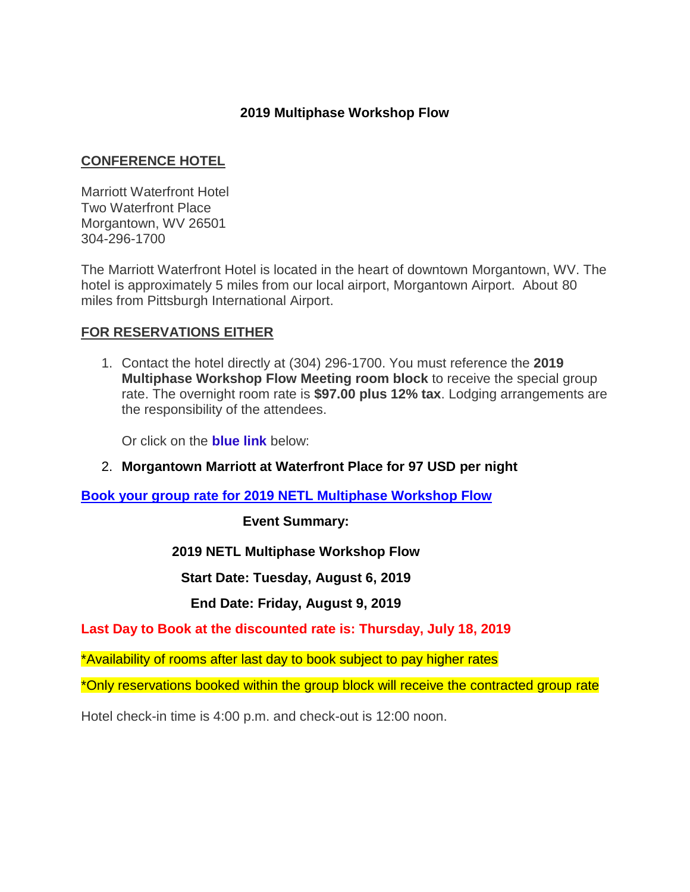# **2019 Multiphase Workshop Flow**

# **CONFERENCE HOTEL**

Marriott Waterfront Hotel Two Waterfront Place Morgantown, WV 26501 304-296-1700

The Marriott Waterfront Hotel is located in the heart of downtown Morgantown, WV. The hotel is approximately 5 miles from our local airport, Morgantown Airport. About 80 miles from Pittsburgh International Airport.

## **FOR RESERVATIONS EITHER**

1. Contact the hotel directly at (304) 296-1700. You must reference the **2019 Multiphase Workshop Flow Meeting room block** to receive the special group rate. The overnight room rate is **\$97.00 plus 12% tax**. Lodging arrangements are the responsibility of the attendees.

Or click on the **blue link** below:

## 2. **Morgantown Marriott at Waterfront Place for 97 USD per night**

**[Book your group rate for 2019 NETL Multiphase Workshop Flow](https://www.marriott.com/events/start.mi?id=1553028147785&key=GRP)**

**Event Summary:**

#### **2019 NETL Multiphase Workshop Flow**

**Start Date: Tuesday, August 6, 2019**

#### **End Date: Friday, August 9, 2019**

**Last Day to Book at the discounted rate is: Thursday, July 18, 2019**

\*Availability of rooms after last day to book subject to pay higher rates

\*Only reservations booked within the group block will receive the contracted group rate

Hotel check-in time is 4:00 p.m. and check-out is 12:00 noon.